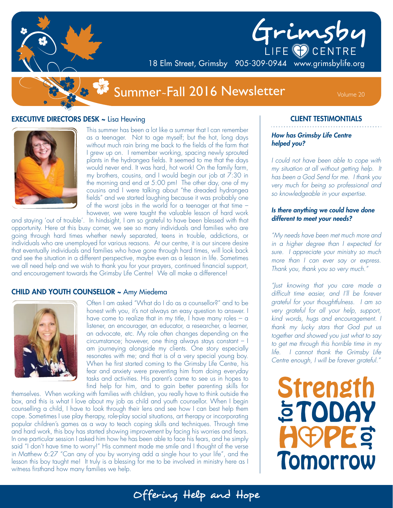



18 Elm Street, Grimsby 905-309-0944 www.grimsbylife.org

# Summer~Fall 2016 Newsletter Volume 20

### **EXECUTIVE DIRECTORS DESK ~ Lisa Heuving**



This summer has been a lot like a summer that I can remember as a teenager. Not to age myself; but the hot, long days without much rain bring me back to the fields of the farm that I grew up on. I remember working, spacing newly sprouted plants in the hydrangea fields. It seemed to me that the days would never end. It was hard, hot work! On the family farm, my brothers, cousins, and I would begin our job at 7:30 in the morning and end at 5:00 pm! The other day, one of my cousins and I were talking about "the dreaded hydrangea fields" and we started laughing because it was probably one of the worst jobs in the world for a teenager at that time – however, we were taught the valuable lesson of hard work

and staying 'out of trouble'. In hindsight, I am so grateful to have been blessed with that opportunity. Here at this busy corner, we see so many individuals and families who are going through hard times whether newly separated, teens in trouble, addictions, or individuals who are unemployed for various reasons. At our centre, it is our sincere desire that eventually individuals and families who have gone through hard times, will look back and see the situation in a different perspective, maybe even as a lesson in life. Sometimes we all need help and we wish to thank you for your prayers, continued financial support, and encouragement towards the Grimsby Life Centre! We all make a difference!

#### CHILD AND YOUTH COUNSELLOR ~ Amy Miedema



Often I am asked "What do I do as a counsellor?" and to be honest with you, it's not always an easy question to answer. I have come to realize that in my title, I have many roles  $-$  a listener, an encourager, an educator, a researcher, a learner, an advocate, etc. My role often changes depending on the circumstance; however, one thing always stays constant – I am journeying alongside my clients. One story especially resonates with me; and that is of a very special young boy. When he first started coming to the Grimsby Life Centre, his fear and anxiety were preventing him from doing everyday tasks and activities. His parent's came to see us in hopes to find help for him, and to gain better parenting skills for

Offering Help and Hope

themselves. When working with families with children, you really have to think outside the box, and this is what I love about my job as child and youth counsellor. When I begin counselling a child, I have to look through their lens and see how I can best help them cope. Sometimes I use play therapy, role-play social situations, art therapy or incorporating popular children's games as a way to teach coping skills and techniques. Through time and hard work, this boy has started showing improvement by facing his worries and fears. In one particular session I asked him how he has been able to face his fears, and he simply said "I don't have time to worry!" His comment made me smile and I thought of the verse in Matthew 6:27 "Can any of you by worrying add a single hour to your life", and the lesson this boy taught me! It truly is a blessing for me to be involved in ministry here as I witness firsthand how many families we help.

### CLIENT TESTIMONTIALS

#### *How has Grimsby Life Centre helped you?*

*I could not have been able to cope with my situation at all without getting help. It has been a God Send for me. I thank you very much for being so professional and so knowledgeable in your expertise.*

#### *Is there anything we could have done different to meet your needs?*

*"My needs have been met much more and in a higher degree than I expected for sure. I appreciate your ministry so much more than I can ever say or express. Thank you, thank you so very much."*

*"Just knowing that you care made a difficult time easier, and I'll be forever grateful for your thoughtfulness. I am so very grateful for all your help, support, kind words, hugs and encouragement. I thank my lucky stars that God put us together and showed you just what to say to get me through this horrible time in my life. I cannot thank the Grimsby Life Centre enough, I will be forever grateful."*

**Strength 5TODAY REPPED Tomorrow**